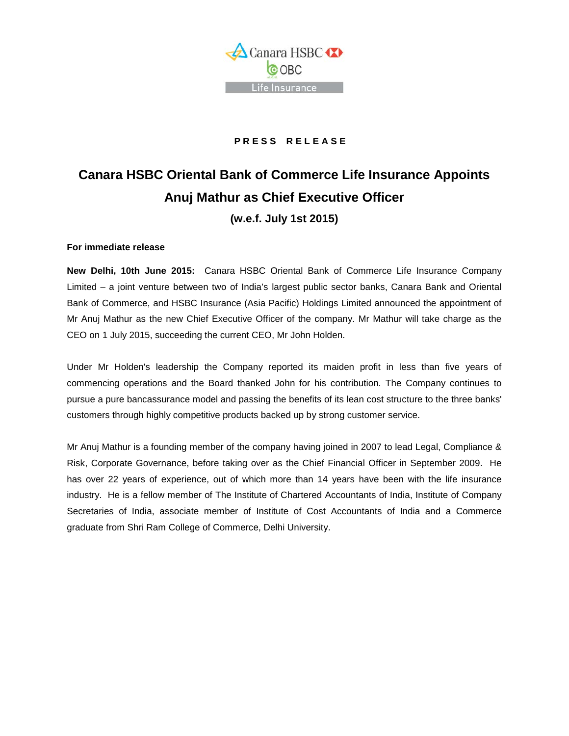

## **P R E S S R E L E A S E**

## **Canara HSBC Oriental Bank of Commerce Life Insurance Appoints Anuj Mathur as Chief Executive Officer**

## **(w.e.f. July 1st 2015)**

## **For immediate release**

**New Delhi, 10th June 2015:** Canara HSBC Oriental Bank of Commerce Life Insurance Company Limited – a joint venture between two of India's largest public sector banks, Canara Bank and Oriental Bank of Commerce, and HSBC Insurance (Asia Pacific) Holdings Limited announced the appointment of Mr Anuj Mathur as the new Chief Executive Officer of the company. Mr Mathur will take charge as the CEO on 1 July 2015, succeeding the current CEO, Mr John Holden.

Under Mr Holden's leadership the Company reported its maiden profit in less than five years of commencing operations and the Board thanked John for his contribution. The Company continues to pursue a pure bancassurance model and passing the benefits of its lean cost structure to the three banks' customers through highly competitive products backed up by strong customer service.

Mr Anuj Mathur is a founding member of the company having joined in 2007 to lead Legal, Compliance & Risk, Corporate Governance, before taking over as the Chief Financial Officer in September 2009. He has over 22 years of experience, out of which more than 14 years have been with the life insurance industry. He is a fellow member of The Institute of Chartered Accountants of India, Institute of Company Secretaries of India, associate member of Institute of Cost Accountants of India and a Commerce graduate from Shri Ram College of Commerce, Delhi University.